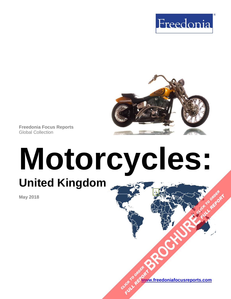



**Freedonia Focus Reports** Global Collection

# **Motorcycles: United Kingdom**

**May 2018**

**[www.freedoniafocusreports.com](https://www.freedoniafocusreports.com/redirect.asp?progid=89534&url=/)** CLICK TO ORDER **FULL REPORT** 

**[BROCHURE](https://www.freedoniafocusreports.com/Motorcycles-United Kingdom-FB85016/?progid=89541) CLICK TO ORDER** 

FULL REPORT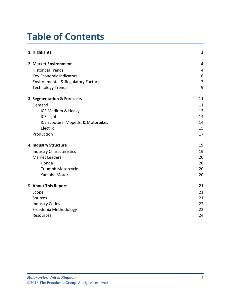# **Table of Contents**

| 1. Highlights                                 | 3              |
|-----------------------------------------------|----------------|
| 2. Market Environment                         | 4              |
| <b>Historical Trends</b>                      | 4              |
| Key Economic Indicators                       | 6              |
| <b>Environmental &amp; Regulatory Factors</b> | $\overline{7}$ |
| <b>Technology Trends</b>                      | 9              |
| 3. Segmentation & Forecasts                   | 11             |
| Demand                                        | 11             |
| ICE Medium & Heavy                            | 13             |
| <b>ICE Light</b>                              | 14             |
| ICE Scooters, Mopeds, & Motorbikes            | 14             |
| Electric                                      | 15             |
| Production                                    | 17             |
| 4. Industry Structure                         | 19             |
| <b>Industry Characteristics</b>               | 19             |
| <b>Market Leaders</b>                         | 20             |
| Honda                                         | 20             |
| Triumph Motorcycle                            | 20             |
| Yamaha Motor                                  | 20             |
| 5. About This Report                          | 21             |
| Scope                                         | 21             |
| Sources                                       | 21             |
| <b>Industry Codes</b>                         | 22             |
| Freedonia Methodology                         | 22             |
| Resources                                     | 24             |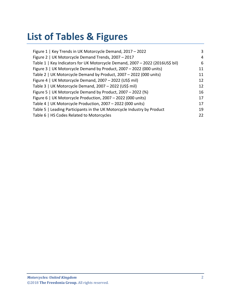# **List of Tables & Figures**

| Figure 1   Key Trends in UK Motorcycle Demand, 2017 - 2022                    | 3  |
|-------------------------------------------------------------------------------|----|
| Figure 2   UK Motorcycle Demand Trends, 2007 - 2017                           | 4  |
| Table 1   Key Indicators for UK Motorcycle Demand, 2007 - 2022 (2016US\$ bil) | 6  |
| Figure 3   UK Motorcycle Demand by Product, 2007 - 2022 (000 units)           | 11 |
| Table 2   UK Motorcycle Demand by Product, 2007 - 2022 (000 units)            | 11 |
| Figure 4   UK Motorcycle Demand, 2007 - 2022 (US\$ mil)                       | 12 |
| Table 3   UK Motorcycle Demand, 2007 - 2022 (US\$ mil)                        | 12 |
| Figure 5   UK Motorcycle Demand by Product, 2007 - 2022 (%)                   | 16 |
| Figure 6   UK Motorcycle Production, 2007 - 2022 (000 units)                  | 17 |
| Table 4   UK Motorcycle Production, 2007 - 2022 (000 units)                   | 17 |
| Table 5   Leading Participants in the UK Motorcycle Industry by Product       | 19 |
| Table 6   HS Codes Related to Motorcycles                                     | 22 |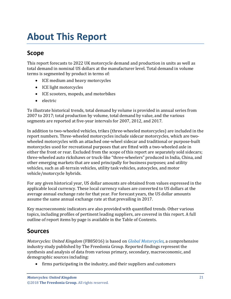# <span id="page-3-0"></span>**About This Report**

# <span id="page-3-1"></span>**Scope**

This report forecasts to 2022 UK motorcycle demand and production in units as well as total demand in nominal US dollars at the manufacturer level. Total demand in volume terms is segmented by product in terms of:

- ICE medium and heavy motorcycles
- ICE light motorcycles
- ICE scooters, mopeds, and motorbikes
- electric

To illustrate historical trends, total demand by volume is provided in annual series from 2007 to 2017; total production by volume, total demand by value, and the various segments are reported at five-year intervals for 2007, 2012, and 2017.

In addition to two-wheeled vehicles, trikes (three-wheeled motorcycles) are included in the report numbers. Three-wheeled motorcycles include sidecar motorcycles, which are twowheeled motorcycles with an attached one-wheel sidecar and traditional or purpose-built motorcycles used for recreational purposes that are fitted with a two-wheeled axle in either the front or rear. Excluded from the scope of this report are separately sold sidecars; three-wheeled auto rickshaws or truck-like "three-wheelers" produced in India, China, and other emerging markets that are used principally for business purposes; and utility vehicles, such as all-terrain vehicles, utility task vehicles, autocycles, and motor vehicle/motorcycle hybrids.

For any given historical year, US dollar amounts are obtained from values expressed in the applicable local currency. These local currency values are converted to US dollars at the average annual exchange rate for that year. For forecast years, the US dollar amounts assume the same annual exchange rate at that prevailing in 2017.

Key macroeconomic indicators are also provided with quantified trends. Other various topics, including profiles of pertinent leading suppliers, are covered in this report. A full outline of report items by page is available in the Table of Contents.

# <span id="page-3-2"></span>**Sources**

*Motorcycles: United Kingdom* (FB85016) is based on *[Global Motorcycles,](http://www.freedoniagroup.com/DocumentDetails.aspx?ReferrerId=FL-FOCUS&studyid=3634)* a comprehensive industry study published by The Freedonia Group. Reported findings represent the synthesis and analysis of data from various primary, secondary, macroeconomic, and demographic sources including:

• firms participating in the industry, and their suppliers and customers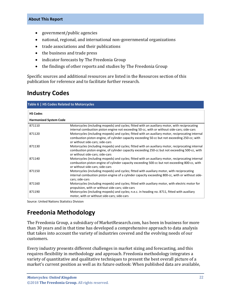#### **About This Report**

- government/public agencies
- national, regional, and international non-governmental organizations
- trade associations and their publications
- the business and trade press
- indicator forecasts by The Freedonia Group
- the findings of other reports and studies by The Freedonia Group

Specific sources and additional resources are listed in the Resources section of this publication for reference and to facilitate further research.

## <span id="page-4-0"></span>**Industry Codes**

<span id="page-4-2"></span>

| Table 6   HS Codes Related to Motorcycles |                                                                                                                                                                                                                                        |  |
|-------------------------------------------|----------------------------------------------------------------------------------------------------------------------------------------------------------------------------------------------------------------------------------------|--|
| <b>HS Codes</b>                           |                                                                                                                                                                                                                                        |  |
| <b>Harmonized System Code</b>             |                                                                                                                                                                                                                                        |  |
| 871110                                    | Motorcycles (including mopeds) and cycles; fitted with an auxiliary motor, with reciprocating<br>internal combustion piston engine not exceeding 50-cc, with or without side-cars; side-cars                                           |  |
| 871120                                    | Motorcycles (including mopeds) and cycles; fitted with an auxiliary motor, reciprocating internal<br>combustion piston engine, of cylinder capacity exceeding 50-cc but not exceeding 250-cc; with<br>or without side-cars; side-cars  |  |
| 871130                                    | Motorcycles (including mopeds) and cycles; fitted with an auxiliary motor, reciprocating internal<br>combustion piston engine, of cylinder capacity exceeding 250-cc but not exceeding 500-cc, with<br>or without side-cars; side-cars |  |
| 871140                                    | Motorcycles (including mopeds) and cycles; fitted with an auxiliary motor, reciprocating internal<br>combustion piston engine of cylinder capacity exceeding 500-cc but not exceeding 800-cc, with<br>or without side-cars; side-cars  |  |
| 871150                                    | Motorcycles (including mopeds) and cycles; fitted with auxiliary motor, with reciprocating<br>internal combustion piston engine of a cylinder capacity exceeding 800-cc, with or without side-<br>cars; side-cars                      |  |
| 871160                                    | Motorcycles (including mopeds) and cycles; fitted with auxiliary motor, with electric motor for<br>propulsion, with or without side-cars; side-cars                                                                                    |  |
| 871190                                    | Motorcycles (including mopeds) and cycles; n.e.c. in heading no. 8711, fitted with auxiliary<br>motor, with or without side-cars; side-cars                                                                                            |  |

Source: United Nations Statistics Division

# <span id="page-4-1"></span>**Freedonia Methodology**

The Freedonia Group, a subsidiary of MarketResearch.com, has been in business for more than 30 years and in that time has developed a comprehensive approach to data analysis that takes into account the variety of industries covered and the evolving needs of our customers.

Every industry presents different challenges in market sizing and forecasting, and this requires flexibility in methodology and approach. Freedonia methodology integrates a variety of quantitative and qualitative techniques to present the best overall picture of a market's current position as well as its future outlook: When published data are available,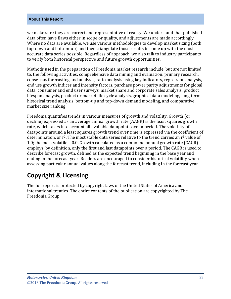#### **About This Report**

we make sure they are correct and representative of reality. We understand that published data often have flaws either in scope or quality, and adjustments are made accordingly. Where no data are available, we use various methodologies to develop market sizing (both top-down and bottom-up) and then triangulate those results to come up with the most accurate data series possible. Regardless of approach, we also talk to industry participants to verify both historical perspective and future growth opportunities.

Methods used in the preparation of Freedonia market research include, but are not limited to, the following activities: comprehensive data mining and evaluation, primary research, consensus forecasting and analysis, ratio analysis using key indicators, regression analysis, end use growth indices and intensity factors, purchase power parity adjustments for global data, consumer and end user surveys, market share and corporate sales analysis, product lifespan analysis, product or market life cycle analysis, graphical data modeling, long-term historical trend analysis, bottom-up and top-down demand modeling, and comparative market size ranking.

Freedonia quantifies trends in various measures of growth and volatility. Growth (or decline) expressed as an average annual growth rate (AAGR) is the least squares growth rate, which takes into account all available datapoints over a period. The volatility of datapoints around a least squares growth trend over time is expressed via the coefficient of determination, or  $r^2$ . The most stable data series relative to the trend carries an  $r^2$  value of 1.0; the most volatile – 0.0. Growth calculated as a compound annual growth rate (CAGR) employs, by definition, only the first and last datapoints over a period. The CAGR is used to describe forecast growth, defined as the expected trend beginning in the base year and ending in the forecast year. Readers are encouraged to consider historical volatility when assessing particular annual values along the forecast trend, including in the forecast year.

# **Copyright & Licensing**

The full report is protected by copyright laws of the United States of America and international treaties. The entire contents of the publication are copyrighted by The Freedonia Group.